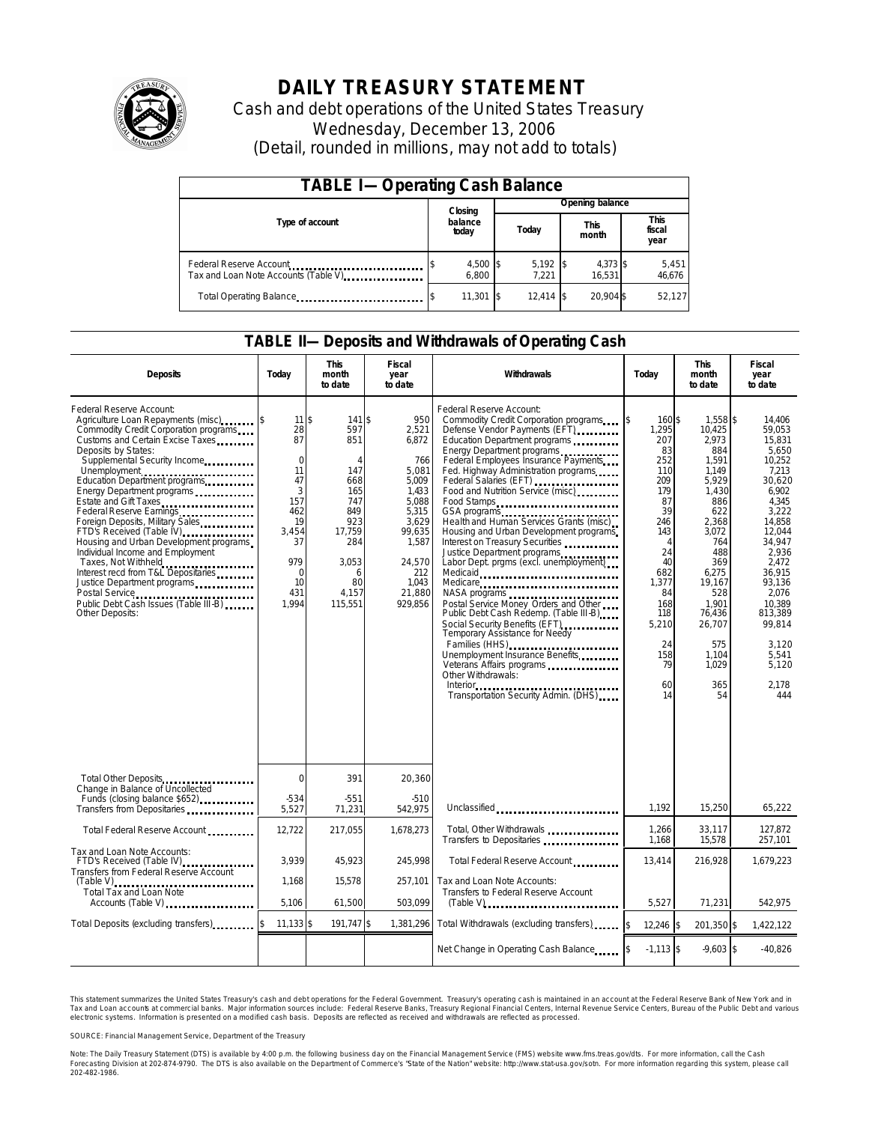

# **DAILY TREASURY STATEMENT**

Cash and debt operations of the United States Treasury Wednesday, December 13, 2006 (Detail, rounded in millions, may not add to totals)

| <b>TABLE I-Operating Cash Balance</b>                            |                  |                   |  |                               |  |                               |  |                 |  |
|------------------------------------------------------------------|------------------|-------------------|--|-------------------------------|--|-------------------------------|--|-----------------|--|
|                                                                  |                  | Closing           |  | Opening balance               |  |                               |  |                 |  |
| Type of account                                                  | balance<br>today |                   |  | <b>This</b><br>Today<br>month |  | <b>This</b><br>fiscal<br>year |  |                 |  |
| Federal Reserve Account<br>Tax and Loan Note Accounts (Table V). |                  | 4,500 \$<br>6.800 |  | $5,192$ \$<br>7.221           |  | 4,373 \$<br>16.531            |  | 5,451<br>46,676 |  |
| Total Operating Balance                                          |                  | 11.301 \$         |  | $12.414$ \\$                  |  | 20.904 \$                     |  | 52.127          |  |

### **TABLE II—Deposits and Withdrawals of Operating Cash**

| <b>Deposits</b>                                                                                                                                                                                                                                                                                                                                                                                                                                                                                                                                                                                                                                                                  | Today                                                                                                                           | <b>This</b><br>month<br>to date                                                                                            | Fiscal<br>year<br>to date                                                                                                                            | <b>Withdrawals</b>                                                                                                                                                                                                                                                                                                                                                                                                                                                                                                                                                                                                                                                                                                                                                                                                                                                                                                                                             | Today                                                                                                                                                                                       | <b>This</b><br>month<br>to date                                                                                                                                                                                          | <b>Fiscal</b><br>year<br>to date                                                                                                                                                                                                                   |
|----------------------------------------------------------------------------------------------------------------------------------------------------------------------------------------------------------------------------------------------------------------------------------------------------------------------------------------------------------------------------------------------------------------------------------------------------------------------------------------------------------------------------------------------------------------------------------------------------------------------------------------------------------------------------------|---------------------------------------------------------------------------------------------------------------------------------|----------------------------------------------------------------------------------------------------------------------------|------------------------------------------------------------------------------------------------------------------------------------------------------|----------------------------------------------------------------------------------------------------------------------------------------------------------------------------------------------------------------------------------------------------------------------------------------------------------------------------------------------------------------------------------------------------------------------------------------------------------------------------------------------------------------------------------------------------------------------------------------------------------------------------------------------------------------------------------------------------------------------------------------------------------------------------------------------------------------------------------------------------------------------------------------------------------------------------------------------------------------|---------------------------------------------------------------------------------------------------------------------------------------------------------------------------------------------|--------------------------------------------------------------------------------------------------------------------------------------------------------------------------------------------------------------------------|----------------------------------------------------------------------------------------------------------------------------------------------------------------------------------------------------------------------------------------------------|
| Federal Reserve Account:<br>Agriculture Loan Repayments (misc)<br>Commodity Credit Corporation programs<br>Customs and Certain Excise Taxes<br>Deposits by States:<br>Supplemental Security Income<br>Unemployment<br>Education Department programs<br>Energy Department programs<br>Estate and Gift Taxes<br>Federal Reserve Earnings<br>Foreign Deposits, Military Sales<br>FTD's Received (Table IV) <b>FTD</b> 's Received (Table IV)<br>Housing and Urban Development programs<br>Individual Income and Employment<br>Taxes, Not Withheld<br>Interest recd from T&L Depositaries<br>Justice Department programs<br>Public Debt Cash Issues (Table III-B)<br>Other Deposits: | $11$ \$<br>28<br>87<br>$\mathbf 0$<br>11<br>47<br>3<br>157<br>462<br>19<br>3,454<br>37<br>979<br>$\Omega$<br>10<br>431<br>1.994 | 141S<br>597<br>851<br>Δ<br>147<br>668<br>165<br>747<br>849<br>923<br>17,759<br>284<br>3,053<br>6<br>80<br>4.157<br>115.551 | 950<br>2,521<br>6,872<br>766<br>5,081<br>5,009<br>1.433<br>5.088<br>5,315<br>3,629<br>99,635<br>1,587<br>24,570<br>212<br>1,043<br>21.880<br>929.856 | Federal Reserve Account:<br>Commodity Credit Corporation programs \$<br>Defense Vendor Payments (EFT)<br>Education Department programs<br>Energy Department programs<br>Federal Employees Insurance Payments<br>Fed. Highway Administration programs<br>Federal Salaries (EFT)<br>Food and Nutrition Service (misc)<br>Food Stamps<br>Health and Human Services Grants (misc)<br>Housing and Urban Development programs<br>Interest on Treasury Securities<br>Justice Department programs<br>Labor Dept. prgms (excl. unemployment)<br>Medicaid<br>Medicare<br>NASA programs<br>Postal Service Money Orders and Other<br>Public Debt Cash Redemp. (Table III-B)<br>Social Security Benefits (EFT)<br>Temporary Assistance for Needy<br>Families (HHS)<br>Unemployment Insurance Benefits<br>Veterans Affairs programs<br>Other Withdrawals:<br>Interior $\cdots$ $\cdots$ $\cdots$ $\cdots$ $\cdots$ $\cdots$ $\cdots$<br>Transportation Security Admin. (DHS) | 160\$<br>1,295<br>207<br>83<br>252<br>110<br>209<br>179<br>87<br>39<br>246<br>143<br>$\overline{4}$<br>24<br>40<br>682<br>1,377<br>84<br>168<br>118<br>5,210<br>24<br>158<br>79<br>60<br>14 | 1,558 \$<br>10,425<br>2,973<br>884<br>1,591<br>1.149<br>5,929<br>1,430<br>886<br>622<br>2,368<br>3,072<br>764<br>488<br>369<br>6.275<br>19,167<br>528<br>1.901<br>76,436<br>26,707<br>575<br>1,104<br>1.029<br>365<br>54 | 14.406<br>59,053<br>15,831<br>5,650<br>10,252<br>7.213<br>30,620<br>6.902<br>4.345<br>3.222<br>14,858<br>12,044<br>34,947<br>2.936<br>2.472<br>36.915<br>93.136<br>2.076<br>10.389<br>813,389<br>99,814<br>3.120<br>5,541<br>5.120<br>2.178<br>444 |
| Total Other Deposits<br><br>Change in Balance of Uncollected                                                                                                                                                                                                                                                                                                                                                                                                                                                                                                                                                                                                                     | $\Omega$                                                                                                                        | 391                                                                                                                        | 20,360                                                                                                                                               |                                                                                                                                                                                                                                                                                                                                                                                                                                                                                                                                                                                                                                                                                                                                                                                                                                                                                                                                                                |                                                                                                                                                                                             |                                                                                                                                                                                                                          |                                                                                                                                                                                                                                                    |
| Funds (closing balance \$652)<br>Transfers from Depositaries                                                                                                                                                                                                                                                                                                                                                                                                                                                                                                                                                                                                                     | -534<br>5,527                                                                                                                   | $-551$<br>71,231                                                                                                           | $-510$<br>542,975                                                                                                                                    | Unclassified                                                                                                                                                                                                                                                                                                                                                                                                                                                                                                                                                                                                                                                                                                                                                                                                                                                                                                                                                   | 1,192                                                                                                                                                                                       | 15,250                                                                                                                                                                                                                   | 65,222                                                                                                                                                                                                                                             |
| Total Federal Reserve Account                                                                                                                                                                                                                                                                                                                                                                                                                                                                                                                                                                                                                                                    | 12,722                                                                                                                          | 217,055                                                                                                                    | 1,678,273                                                                                                                                            | Total, Other Withdrawals<br>Transfers to Depositaries                                                                                                                                                                                                                                                                                                                                                                                                                                                                                                                                                                                                                                                                                                                                                                                                                                                                                                          | 1,266<br>1,168                                                                                                                                                                              | 33,117<br>15,578                                                                                                                                                                                                         | 127,872<br>257,101                                                                                                                                                                                                                                 |
| Tax and Loan Note Accounts:<br>FTD's Received (Table IV)<br><br>Transfers from Federal Reserve Account                                                                                                                                                                                                                                                                                                                                                                                                                                                                                                                                                                           | 3.939                                                                                                                           | 45,923                                                                                                                     | 245,998                                                                                                                                              | Total Federal Reserve Account                                                                                                                                                                                                                                                                                                                                                                                                                                                                                                                                                                                                                                                                                                                                                                                                                                                                                                                                  | 13,414                                                                                                                                                                                      | 216,928                                                                                                                                                                                                                  | 1,679,223                                                                                                                                                                                                                                          |
| <b>Total Tax and Loan Note</b><br>Accounts (Table V)                                                                                                                                                                                                                                                                                                                                                                                                                                                                                                                                                                                                                             | 1,168<br>5.106                                                                                                                  | 15,578<br>61.500                                                                                                           | 257.101<br>503.099                                                                                                                                   | Tax and Loan Note Accounts:<br>Transfers to Federal Reserve Account                                                                                                                                                                                                                                                                                                                                                                                                                                                                                                                                                                                                                                                                                                                                                                                                                                                                                            | 5.527                                                                                                                                                                                       | 71,231                                                                                                                                                                                                                   | 542.975                                                                                                                                                                                                                                            |
| Total Deposits (excluding transfers)                                                                                                                                                                                                                                                                                                                                                                                                                                                                                                                                                                                                                                             | $11,133$ \$                                                                                                                     | 191,747 \$                                                                                                                 | 1,381,296                                                                                                                                            | Total Withdrawals (excluding transfers)                                                                                                                                                                                                                                                                                                                                                                                                                                                                                                                                                                                                                                                                                                                                                                                                                                                                                                                        | $12,246$ \$<br>l\$                                                                                                                                                                          | 201,350 \$                                                                                                                                                                                                               | 1,422,122                                                                                                                                                                                                                                          |
|                                                                                                                                                                                                                                                                                                                                                                                                                                                                                                                                                                                                                                                                                  |                                                                                                                                 |                                                                                                                            |                                                                                                                                                      | Net Change in Operating Cash Balance                                                                                                                                                                                                                                                                                                                                                                                                                                                                                                                                                                                                                                                                                                                                                                                                                                                                                                                           | $-1.113$ \\$                                                                                                                                                                                | $-9.603$ \$                                                                                                                                                                                                              | $-40.826$                                                                                                                                                                                                                                          |

This statement summarizes the United States Treasury's cash and debt operations for the Federal Government. Treasury's operating cash is maintained in an account at the Federal Reserve Bank of New York and in Tax and Loan accounts at commercial banks. Major information sources include: Federal Reserve Banks, Treasury Regional Financial Centers, Internal Revenue Service Centers, Bureau of the Public Debt and various<br>electronic s

SOURCE: Financial Management Service, Department of the Treasury

Note: The Daily Treasury Statement (DTS) is available by 4:00 p.m. the following business day on the Financial Management Service (FMS) website www.fms.treas.gov/dts.<br>Forecasting Division at 202-874-9790. The DTS is also a 'S) is available by 4:00 p.m. the following business day on the Financial Management Service (FMS) website www.fms.treas.gov/dts. For more information, call the Cash<br>The DTS is also available on the Department of Commerce'